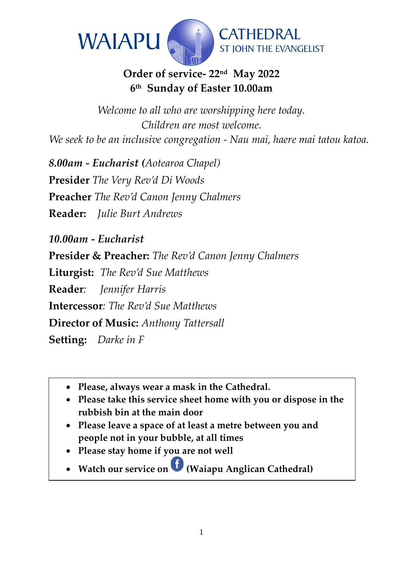

# **Order of service- 22nd May 2022 6 th Sunday of Easter 10.00am**

*Welcome to all who are worshipping here today. Children are most welcome. We seek to be an inclusive congregation - Nau mai, haere mai tatou katoa.*

*8.00am - Eucharist (Aotearoa Chapel)* **Presider** *The Very Rev'd Di Woods* **Preacher** *The Rev'd Canon Jenny Chalmers* **Reader:** *Julie Burt Andrews* 

*10.00am - Eucharist* 

**Presider & Preacher:** *The Rev'd Canon Jenny Chalmers*

**Liturgist:** *The Rev'd Sue Matthews*

**Reader***: Jennifer Harris* 

**Intercessor***: The Rev'd Sue Matthews*

**Director of Music:** *Anthony Tattersall*

**Setting:** *Darke in F*

- **Please, always wear a mask in the Cathedral.**
- **Please take this service sheet home with you or dispose in the rubbish bin at the main door**
- **Please leave a space of at least a metre between you and people not in your bubble, at all times**
- **Please stay home if you are not well**
- **Watch our service on(Waiapu Anglican Cathedral)**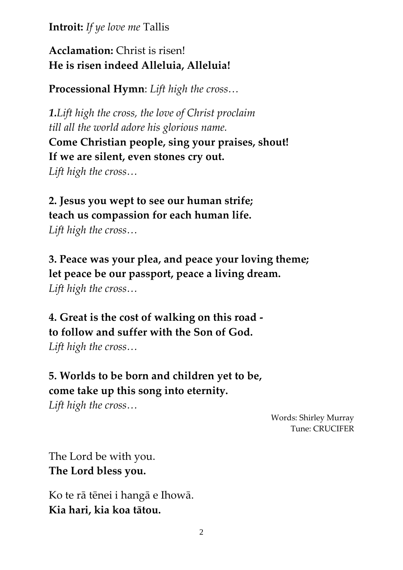**Introit:** *If ye love me* Tallis

## **Acclamation:** Christ is risen! **He is risen indeed Alleluia, Alleluia!**

**Processional Hymn**: *Lift high the cross…*

*1.Lift high the cross, the love of Christ proclaim till all the world adore his glorious name.* **Come Christian people, sing your praises, shout! If we are silent, even stones cry out.** *Lift high the cross…*

**2. Jesus you wept to see our human strife; teach us compassion for each human life.** *Lift high the cross…*

**3. Peace was your plea, and peace your loving theme; let peace be our passport, peace a living dream.** *Lift high the cross…*

**4. Great is the cost of walking on this road to follow and suffer with the Son of God.** *Lift high the cross…*

**5. Worlds to be born and children yet to be, come take up this song into eternity.**

*Lift high the cross…*

Words: Shirley Murray Tune: CRUCIFER

The Lord be with you. **The Lord bless you.**

Ko te rā tēnei i hangā e Ihowā. **Kia hari, kia koa tātou.**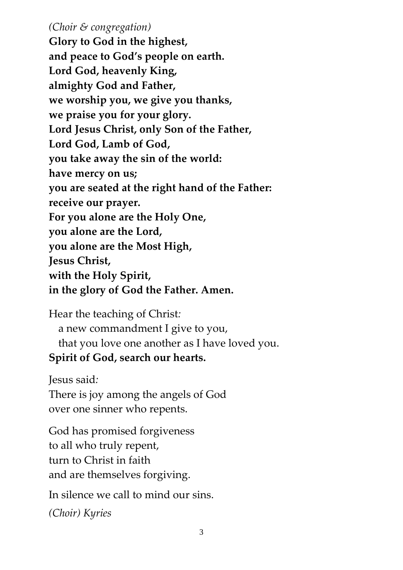#### *(Choir & congregation)*

**Glory to God in the highest, and peace to God's people on earth. Lord God, heavenly King, almighty God and Father, we worship you, we give you thanks, we praise you for your glory. Lord Jesus Christ, only Son of the Father, Lord God, Lamb of God, you take away the sin of the world: have mercy on us; you are seated at the right hand of the Father: receive our prayer. For you alone are the Holy One, you alone are the Lord, you alone are the Most High, Jesus Christ, with the Holy Spirit, in the glory of God the Father. Amen.**

Hear the teaching of Christ*:*  a new commandment I give to you, that you love one another as I have loved you. **Spirit of God, search our hearts.**

Jesus said*:* 

There is joy among the angels of God over one sinner who repents.

God has promised forgiveness to all who truly repent, turn to Christ in faith and are themselves forgiving.

In silence we call to mind our sins.

*(Choir) Kyries*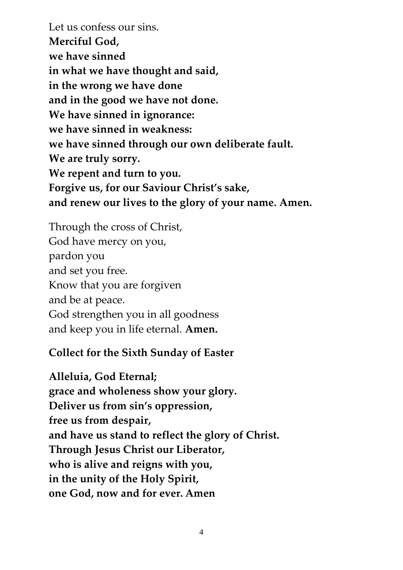Let us confess our sins. **Merciful God, we have sinned in what we have thought and said, in the wrong we have done and in the good we have not done. We have sinned in ignorance: we have sinned in weakness: we have sinned through our own deliberate fault. We are truly sorry. We repent and turn to you. Forgive us, for our Saviour Christ's sake, and renew our lives to the glory of your name. Amen.**

Through the cross of Christ, God have mercy on you, pardon you and set you free. Know that you are forgiven and be at peace. God strengthen you in all goodness and keep you in life eternal. **Amen.**

#### **Collect for the Sixth Sunday of Easter**

**Alleluia, God Eternal; grace and wholeness show your glory. Deliver us from sin's oppression, free us from despair, and have us stand to reflect the glory of Christ. Through Jesus Christ our Liberator, who is alive and reigns with you, in the unity of the Holy Spirit, one God, now and for ever. Amen**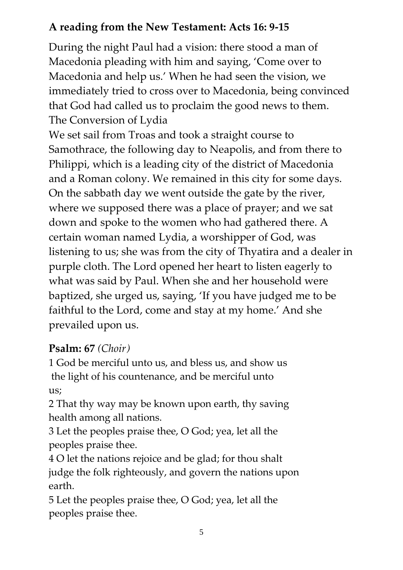# **A reading from the New Testament: Acts 16: 9-15**

During the night Paul had a vision: there stood a man of Macedonia pleading with him and saying, 'Come over to Macedonia and help us.' When he had seen the vision, we immediately tried to cross over to Macedonia, being convinced that God had called us to proclaim the good news to them. The Conversion of Lydia

We set sail from Troas and took a straight course to Samothrace, the following day to Neapolis, and from there to Philippi, which is a leading city of the district of Macedonia and a Roman colony. We remained in this city for some days. On the sabbath day we went outside the gate by the river, where we supposed there was a place of prayer; and we sat down and spoke to the women who had gathered there. A certain woman named Lydia, a worshipper of God, was listening to us; she was from the city of Thyatira and a dealer in purple cloth. The Lord opened her heart to listen eagerly to what was said by Paul. When she and her household were baptized, she urged us, saying, 'If you have judged me to be faithful to the Lord, come and stay at my home.' And she prevailed upon us.

# **Psalm: 67** *(Choir)*

1 God be merciful unto us, and bless us, and show us the light of his countenance, and be merciful unto us;

2 That thy way may be known upon earth, thy saving health among all nations.

3 Let the peoples praise thee, O God; yea, let all the peoples praise thee.

4 O let the nations rejoice and be glad; for thou shalt judge the folk righteously, and govern the nations upon earth.

5 Let the peoples praise thee, O God; yea, let all the peoples praise thee.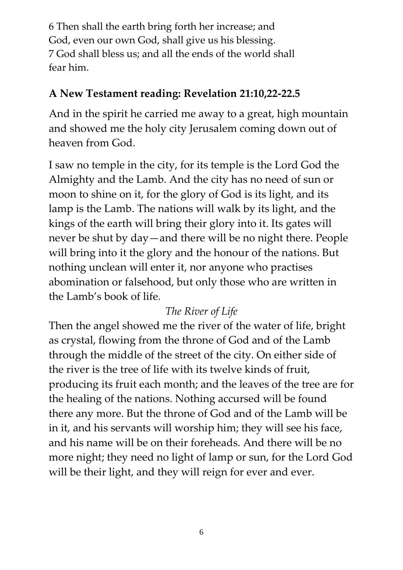6 Then shall the earth bring forth her increase; and God, even our own God, shall give us his blessing. 7 God shall bless us; and all the ends of the world shall fear him.

## **A New Testament reading: Revelation 21:10,22-22.5**

And in the spirit he carried me away to a great, high mountain and showed me the holy city Jerusalem coming down out of heaven from God.

I saw no temple in the city, for its temple is the Lord God the Almighty and the Lamb. And the city has no need of sun or moon to shine on it, for the glory of God is its light, and its lamp is the Lamb. The nations will walk by its light, and the kings of the earth will bring their glory into it. Its gates will never be shut by day—and there will be no night there. People will bring into it the glory and the honour of the nations. But nothing unclean will enter it, nor anyone who practises abomination or falsehood, but only those who are written in the Lamb's book of life*.*

# *The River of Life*

Then the angel showed me the river of the water of life, bright as crystal, flowing from the throne of God and of the Lamb through the middle of the street of the city. On either side of the river is the tree of life with its twelve kinds of fruit, producing its fruit each month; and the leaves of the tree are for the healing of the nations. Nothing accursed will be found there any more. But the throne of God and of the Lamb will be in it, and his servants will worship him; they will see his face, and his name will be on their foreheads. And there will be no more night; they need no light of lamp or sun, for the Lord God will be their light, and they will reign for ever and ever.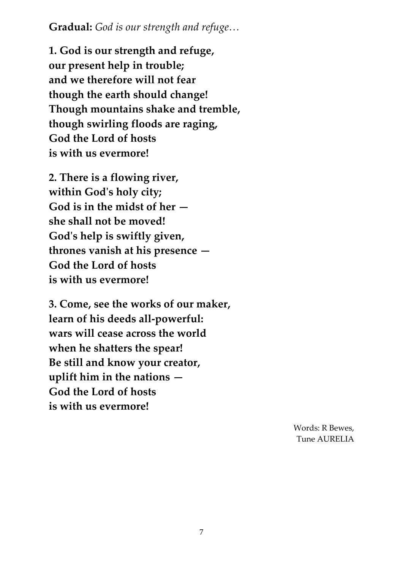**Gradual:** *God is our strength and refuge…*

**1. God is our strength and refuge, our present help in trouble; and we therefore will not fear though the earth should change! Though mountains shake and tremble, though swirling floods are raging, God the Lord of hosts is with us evermore!**

**2. There is a flowing river, within God's holy city; God is in the midst of her she shall not be moved! God's help is swiftly given, thrones vanish at his presence — God the Lord of hosts is with us evermore!**

**3. Come, see the works of our maker, learn of his deeds all-powerful: wars will cease across the world when he shatters the spear! Be still and know your creator, uplift him in the nations — God the Lord of hosts is with us evermore!**

> Words: R Bewes, Tune AURELIA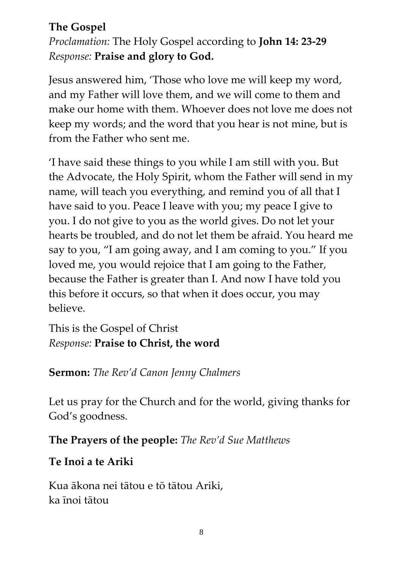## **The Gospel**

*Proclamation:* The Holy Gospel according to **John 14: 23-29** *Response:* **Praise and glory to God.**

Jesus answered him, 'Those who love me will keep my word, and my Father will love them, and we will come to them and make our home with them. Whoever does not love me does not keep my words; and the word that you hear is not mine, but is from the Father who sent me.

'I have said these things to you while I am still with you. But the Advocate, the Holy Spirit, whom the Father will send in my name, will teach you everything, and remind you of all that I have said to you. Peace I leave with you; my peace I give to you. I do not give to you as the world gives. Do not let your hearts be troubled, and do not let them be afraid. You heard me say to you, "I am going away, and I am coming to you." If you loved me, you would rejoice that I am going to the Father, because the Father is greater than I. And now I have told you this before it occurs, so that when it does occur, you may believe.

This is the Gospel of Christ *Response:* **Praise to Christ, the word**

# **Sermon:** *The Rev'd Canon Jenny Chalmers*

Let us pray for the Church and for the world, giving thanks for God's goodness.

# **The Prayers of the people:** *The Rev'd Sue Matthews*

# **Te Inoi a te Ariki**

Kua ākona nei tātou e tō tātou Ariki, ka īnoi tātou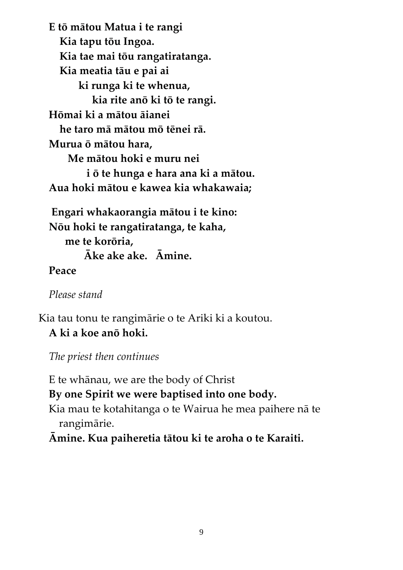**E tō mātou Matua i te rangi Kia tapu tōu Ingoa. Kia tae mai tōu rangatiratanga. Kia meatia tāu e pai ai ki runga ki te whenua, kia rite anō ki tō te rangi. Hōmai ki a mātou āianei he taro mā mātou mō tēnei rā. Murua ō mātou hara, Me mātou hoki e muru nei i ō te hunga e hara ana ki a mātou. Aua hoki mātou e kawea kia whakawaia;**

**Engari whakaorangia mātou i te kino: Nōu hoki te rangatiratanga, te kaha, me te korōria, Āke ake ake. Āmine.**

**Peace**

*Please stand*

Kia tau tonu te rangimārie o te Ariki ki a koutou. **A ki a koe anō hoki.**

*The priest then continues*

E te whānau, we are the body of Christ **By one Spirit we were baptised into one body.** Kia mau te kotahitanga o te Wairua he mea paihere nā te rangimārie. **Āmine. Kua paiheretia tātou ki te aroha o te Karaiti.**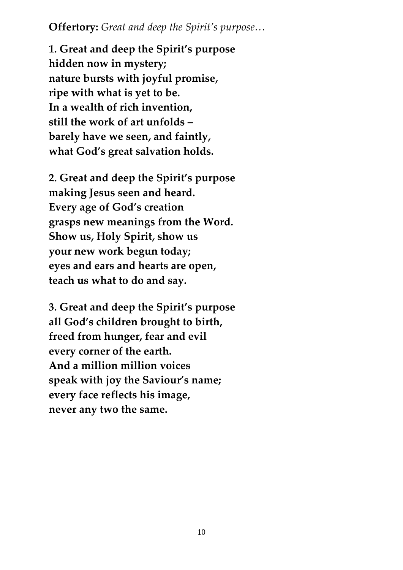**Offertory:** *Great and deep the Spirit's purpose…*

**1. Great and deep the Spirit's purpose hidden now in mystery; nature bursts with joyful promise, ripe with what is yet to be. In a wealth of rich invention, still the work of art unfolds – barely have we seen, and faintly, what God's great salvation holds.**

**2. Great and deep the Spirit's purpose making Jesus seen and heard. Every age of God's creation grasps new meanings from the Word. Show us, Holy Spirit, show us your new work begun today; eyes and ears and hearts are open, teach us what to do and say.**

**3. Great and deep the Spirit's purpose all God's children brought to birth, freed from hunger, fear and evil every corner of the earth. And a million million voices speak with joy the Saviour's name; every face reflects his image, never any two the same.**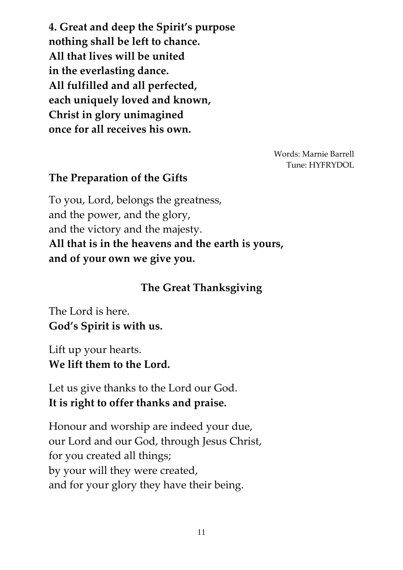**4. Great and deep the Spirit's purpose nothing shall be left to chance. All that lives will be united in the everlasting dance. All fulfilled and all perfected, each uniquely loved and known, Christ in glory unimagined once for all receives his own.**

> Words: Marnie Barrell Tune: HYFRYDOL

#### **The Preparation of the Gifts**

To you, Lord, belongs the greatness, and the power, and the glory, and the victory and the majesty. **All that is in the heavens and the earth is yours, and of your own we give you.**

#### **The Great Thanksgiving**

The Lord is here. **God's Spirit is with us.**

Lift up your hearts. **We lift them to the Lord.**

Let us give thanks to the Lord our God. **It is right to offer thanks and praise.**

Honour and worship are indeed your due, our Lord and our God, through Jesus Christ, for you created all things; by your will they were created, and for your glory they have their being.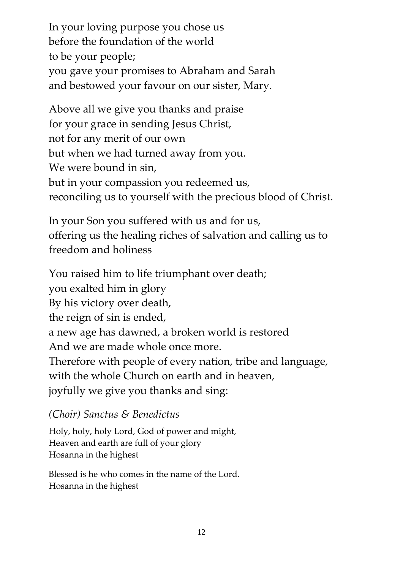In your loving purpose you chose us before the foundation of the world to be your people; you gave your promises to Abraham and Sarah and bestowed your favour on our sister, Mary.

Above all we give you thanks and praise for your grace in sending Jesus Christ, not for any merit of our own but when we had turned away from you. We were bound in sin, but in your compassion you redeemed us, reconciling us to yourself with the precious blood of Christ.

In your Son you suffered with us and for us, offering us the healing riches of salvation and calling us to freedom and holiness

You raised him to life triumphant over death; you exalted him in glory By his victory over death, the reign of sin is ended, a new age has dawned, a broken world is restored And we are made whole once more. Therefore with people of every nation, tribe and language, with the whole Church on earth and in heaven, joyfully we give you thanks and sing:

#### *(Choir) Sanctus & Benedictus*

Holy, holy, holy Lord, God of power and might, Heaven and earth are full of your glory Hosanna in the highest

Blessed is he who comes in the name of the Lord. Hosanna in the highest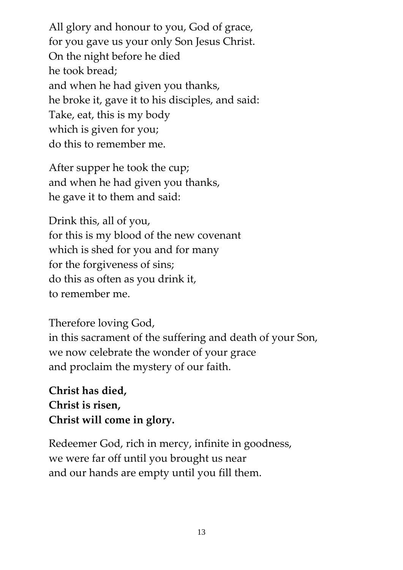All glory and honour to you, God of grace, for you gave us your only Son Jesus Christ. On the night before he died he took bread; and when he had given you thanks, he broke it, gave it to his disciples, and said: Take, eat, this is my body which is given for you; do this to remember me.

After supper he took the cup; and when he had given you thanks, he gave it to them and said:

Drink this, all of you, for this is my blood of the new covenant which is shed for you and for many for the forgiveness of sins; do this as often as you drink it, to remember me.

Therefore loving God, in this sacrament of the suffering and death of your Son, we now celebrate the wonder of your grace and proclaim the mystery of our faith.

**Christ has died, Christ is risen, Christ will come in glory.**

Redeemer God, rich in mercy, infinite in goodness, we were far off until you brought us near and our hands are empty until you fill them.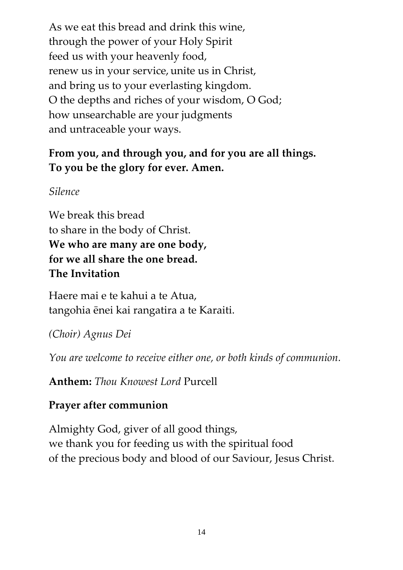As we eat this bread and drink this wine, through the power of your Holy Spirit feed us with your heavenly food, renew us in your service, unite us in Christ, and bring us to your everlasting kingdom. O the depths and riches of your wisdom, O God; how unsearchable are your judgments and untraceable your ways.

# **From you, and through you, and for you are all things. To you be the glory for ever. Amen.**

*Silence*

We break this bread to share in the body of Christ. **We who are many are one body, for we all share the one bread. The Invitation**

Haere mai e te kahui a te Atua, tangohia ēnei kai rangatira a te Karaiti.

*(Choir) Agnus Dei*

*You are welcome to receive either one, or both kinds of communion.*

**Anthem:** *Thou Knowest Lord* Purcell

# **Prayer after communion**

Almighty God, giver of all good things, we thank you for feeding us with the spiritual food of the precious body and blood of our Saviour, Jesus Christ.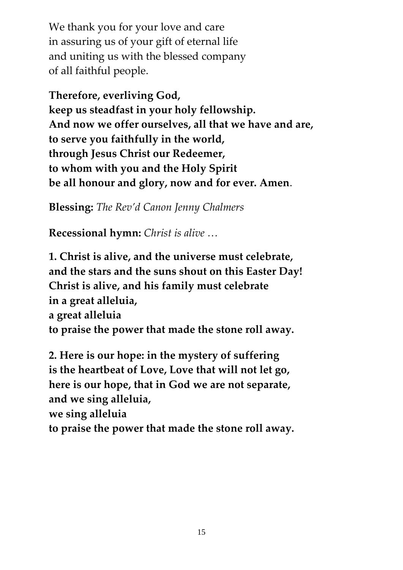We thank you for your love and care in assuring us of your gift of eternal life and uniting us with the blessed company of all faithful people.

**Therefore, everliving God, keep us steadfast in your holy fellowship. And now we offer ourselves, all that we have and are, to serve you faithfully in the world, through Jesus Christ our Redeemer, to whom with you and the Holy Spirit be all honour and glory, now and for ever. Amen**.

**Blessing:** *The Rev'd Canon Jenny Chalmers*

**Recessional hymn:** *Christ is alive …*

**1. Christ is alive, and the universe must celebrate, and the stars and the suns shout on this Easter Day! Christ is alive, and his family must celebrate in a great alleluia, a great alleluia to praise the power that made the stone roll away.**

**2. Here is our hope: in the mystery of suffering is the heartbeat of Love, Love that will not let go, here is our hope, that in God we are not separate, and we sing alleluia, we sing alleluia to praise the power that made the stone roll away.**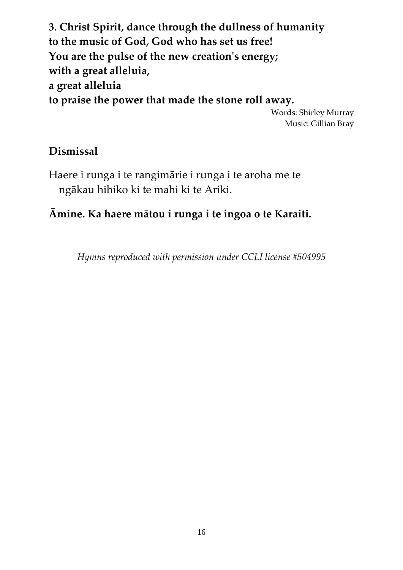**3. Christ Spirit, dance through the dullness of humanity to the music of God, God who has set us free! You are the pulse of the new creation's energy; with a great alleluia, a great alleluia to praise the power that made the stone roll away.** Words: Shirley Murray Music: Gillian Bray

#### **Dismissal**

Haere i runga i te rangimārie i runga i te aroha me te ngākau hihiko ki te mahi ki te Ariki.

## **Āmine. Ka haere mātou i runga i te ingoa o te Karaiti.**

*Hymns reproduced with permission under CCLI license #504995*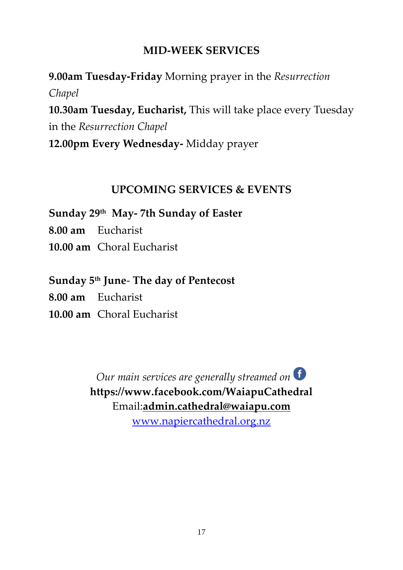#### **MID-WEEK SERVICES**

**9.00am Tuesday-Friday** Morning prayer in the *Resurrection Chapel* **10.30am Tuesday, Eucharist,** This will take place every Tuesday in the *Resurrection Chapel*  **12.00pm Every Wednesday-** Midday prayer

### **UPCOMING SERVICES & EVENTS**

**Sunday 29th May- 7th Sunday of Easter** 

**8.00 am** Eucharist

**10.00 am** Choral Eucharist

### **Sunday 5th June**- **The day of Pentecost**

**8.00 am** Eucharist

**10.00 am** Choral Eucharist

*Our main services are generally streamed on* **https://www.facebook.com/WaiapuCathedral** Email:**[admin.cathedral@waiapu.com](mailto:admin.cathedral@waiapu.com)**

[www.napiercathedral.org.nz](http://www.napiercathedral.org.nz/)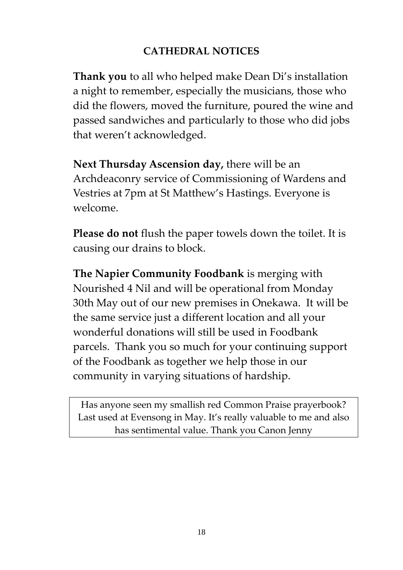## **CATHEDRAL NOTICES**

**Thank you** to all who helped make Dean Di's installation a night to remember, especially the musicians, those who did the flowers, moved the furniture, poured the wine and passed sandwiches and particularly to those who did jobs that weren't acknowledged.

**Next Thursday Ascension day,** there will be an Archdeaconry service of Commissioning of Wardens and Vestries at 7pm at St Matthew's Hastings. Everyone is welcome.

**Please do not** flush the paper towels down the toilet. It is causing our drains to block.

**The Napier Community Foodbank** is merging with Nourished 4 Nil and will be operational from Monday 30th May out of our new premises in Onekawa. It will be the same service just a different location and all your wonderful donations will still be used in Foodbank parcels. Thank you so much for your continuing support of the Foodbank as together we help those in our community in varying situations of hardship.

Has anyone seen my smallish red Common Praise prayerbook? Last used at Evensong in May. It's really valuable to me and also has sentimental value. Thank you Canon Jenny